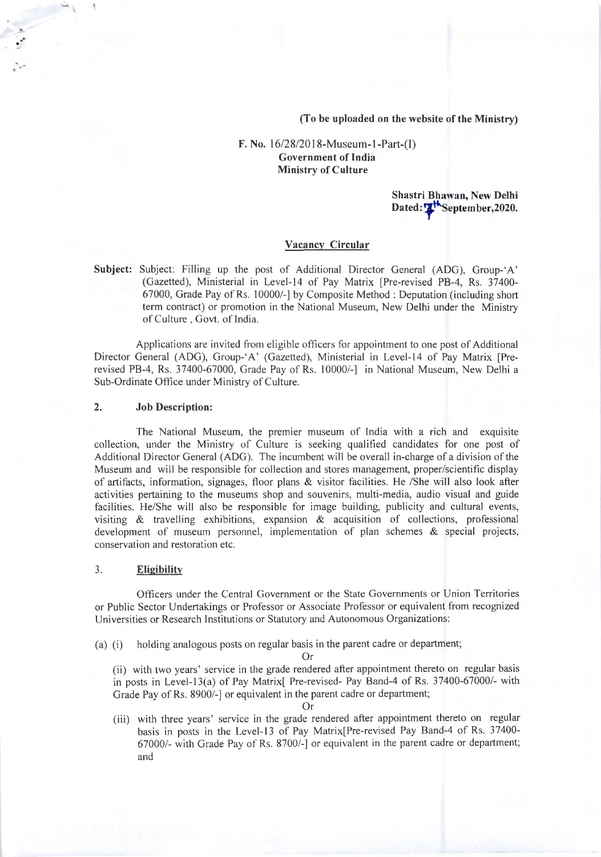(To be uploaded on the website of the Ministry)

### F. No.  $16/28/2018$ -Museum-1-Part-(I) Government of India Ministry of Culture

Shastri Bhawan, New Delhi Dated: The September, 2020.

#### Vacancy Circular

Subject: Subject: Filling up the post of Additional Director General (ADG), Group-'A' (Gazetted), Ministerial in Level-I4 of Pay Matrix [Pre-revised PB-4, Rs. 37400- 67000, Grade Pay of Rs. 10000/-l by Composite Method : Deputation (including short term contract) or promotion in the National Museum, New Delhi under the Ministry of Culture, Govt. of India.

Applications are invited from eligible offlcers for appointment to one post of Additional Director General (ADC), Group-'A' (Gazetted), Ministerial in Level-14 of Pay Matrix [Prerevised PB-4, Rs. 37400-67000, Grade Pay of Rs. 10000/-] in National Museum, New Delhi a Sub-Ordinate Office under Ministry of Culture.

#### 2. Job Description:

´

The National Museum, the premier museum of Tndia with a rich and exquisite collection, under the Ministry of Culture is seeking qualified candidates for one post of Additional Director General (ADG). The incumbent will be overall in-charge of a division of the Museum and will be responsible for collection and stores management, proper/scientific display of artifacts, information, signages, floor plans & visitor facilities. He /She will also look after activities pertaining to the museums shop and souvenirs, multi-media, audio visual and guide facilities. He/She will also be responsible for image building, publicity and cultural events, visiting  $\&$  travelling exhibitions, expansion  $\&$  acquisition of collections, professional development of museum personnel, implementation of plan schemes & special projects, conservation and restoration etc.

#### 3. Eligibility

Officers under the Central Government or the State Governments or Union Territories or Public Sector Undertakings or Professor or Associate Professor or equivalent from recognized Universities or Research Institutions or Statutory and Autonomous Organizations:

(a) (i) holding analogous posts on regular basis in the parent cadre or department;

Or

(ii) with two years' service in the grade rendered after appointment thereto on regular basis in posts in Level-13(a) of Pay Matrix[ Pre-revised- Pay Band-4 of Rs. 37400-67000/- with Grade Pay of Rs. 8900/-] or equivalent in the parent cadre or department;

Or

(iii) with three years' service in the grade rendered after appointment thereto on regular basis in posts in the Level-13 of Pay Matrix[Pre-revised Pay Band-4 of Rs. 37400-67000/- with Grade Pay of Rs. 8700/-] or equivalent in the parent cadre or department; and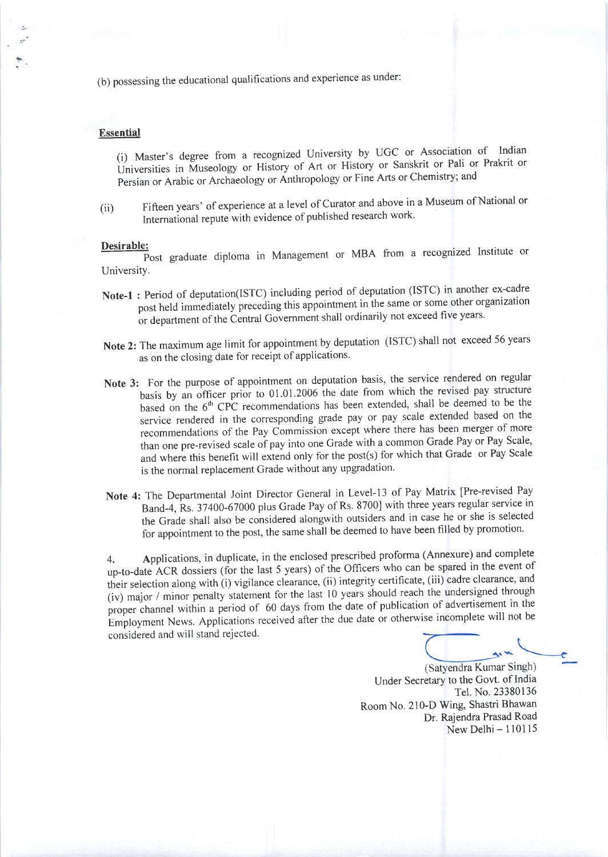(b) possessing the educational qualifications and experience as under:

#### **Essential**

(i) Master's degree from a recognized University by UGC or Association of Indian Universities in Museology or History of Art or History or Sanskrit or Pali or Prakrit or Persian or Arabic or Archaeology or Anthropology or Fine Arts or Chemistry; and

Fifteen years' of experience at a level of Curator and above in a Museum of National or  $(ii)$ International repute with evidence of published research work.

#### Desirable:

Post graduate diploma in Management or MBA from a recognized Institute or University.

- Note-1: Period of deputation(ISTC) including period of deputation (ISTC) in another ex-cadre post held immediately preceding this appointment in the same or some other organization or department of the Central Government shall ordinarily not exceed five years.
- Note 2: The maximum age limit for appointment by deputation (ISTC) shall not exceed 56 years as on the closing date for receipt of applications.
- Note 3: For the purpose of appointment on deputation basis, the service rendered on regular basis by an officer prior to 01.01.2006 the date from which the revised pay structure based on the 6<sup>th</sup> CPC recommendations has been extended, shall be deemed to be the service rendered in the corresponding grade pay or pay scale extended based on the recommendations of the Pay Commission except where there has been merger of more than one pre-revised scale of pay into one Grade with a common Grade Pay or Pay Scale, and where this benefit will extend only for the post(s) for which that Grade or Pay Scale is the normal replacement Grade without any upgradation.
- Note 4: The Departmental Joint Director General in Level-13 of Pay Matrix [Pre-revised Pay Band-4, Rs. 37400-67000 plus Grade Pay of Rs. 8700] with three years regular service in the Grade shall also be considered alongwith outsiders and in case he or she is selected for appointment to the post, the same shall be deemed to have been filled by promotion.

Applications, in duplicate, in the enclosed prescribed proforma (Annexure) and complete  $4.$ up-to-date ACR dossiers (for the last 5 years) of the Officers who can be spared in the event of their selection along with (i) vigilance clearance, (ii) integrity certificate, (iii) cadre clearance, and (iv) major / minor penalty statement for the last 10 years should reach the undersigned through proper channel within a period of 60 days from the date of publication of advertisement in the Employment News. Applications received after the due date or otherwise incomplete will not be considered and will stand rejected.

(Satyendra Kumar Singh)

Under Secretary to the Govt. of India Tel. No. 23380136 Room No. 210-D Wing, Shastri Bhawan Dr. Rajendra Prasad Road New Delhi $-110115$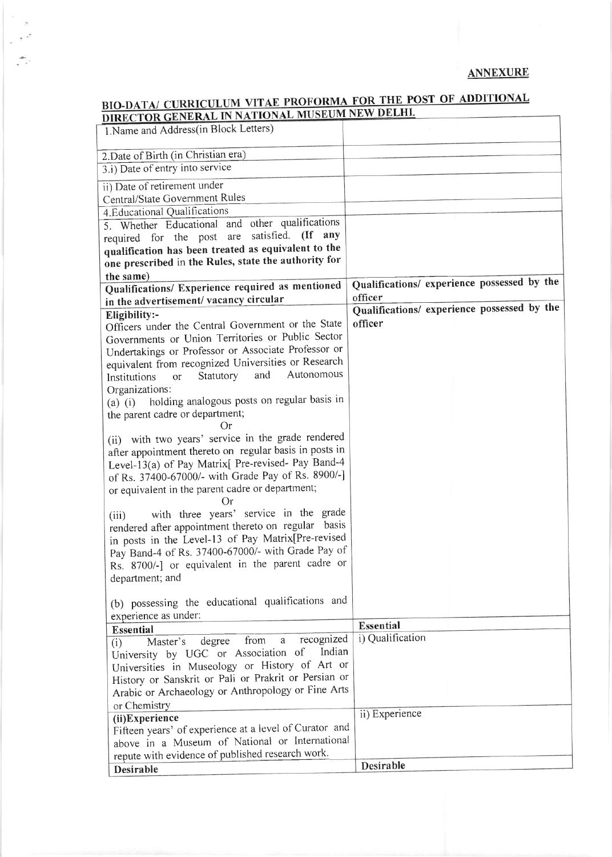## **ANNEXURE**

# **BIO-DATA/ CURRICULUM VITAE PROFORMA FOR THE POST OF ADDITIONAL**<br>DIRECTOR GENERAL IN NATIONAL MUSEUM NEW DELHI.

 $\sim$  $\bar{u}$  $\epsilon^{-\mu^*}$ 

 $\frac{1}{2} \sum_{i=1}^n \alpha_i$ 

| DIRECTOR GENERAL IN NATIONAL MOSLOM NEW B<br>1. Name and Address(in Block Letters)                           |                                             |
|--------------------------------------------------------------------------------------------------------------|---------------------------------------------|
|                                                                                                              |                                             |
| 2. Date of Birth (in Christian era)                                                                          |                                             |
| 3.i) Date of entry into service                                                                              |                                             |
| ii) Date of retirement under                                                                                 |                                             |
| Central/State Government Rules                                                                               |                                             |
| 4. Educational Qualifications                                                                                |                                             |
| 5. Whether Educational and other qualifications                                                              |                                             |
| satisfied. (If any<br>required for the post are                                                              |                                             |
| qualification has been treated as equivalent to the                                                          |                                             |
| one prescribed in the Rules, state the authority for                                                         |                                             |
| the same)                                                                                                    | Qualifications/ experience possessed by the |
| Qualifications/ Experience required as mentioned                                                             | officer                                     |
| in the advertisement/ vacancy circular                                                                       | Qualifications/ experience possessed by the |
| Eligibility:-                                                                                                |                                             |
| Officers under the Central Government or the State                                                           | officer                                     |
| Governments or Union Territories or Public Sector                                                            |                                             |
| Undertakings or Professor or Associate Professor or                                                          |                                             |
| equivalent from recognized Universities or Research                                                          |                                             |
| Autonomous<br>and<br>Statutory<br>Institutions<br>or                                                         |                                             |
| Organizations:                                                                                               |                                             |
| (a) (i) holding analogous posts on regular basis in                                                          |                                             |
| the parent cadre or department;                                                                              |                                             |
| Оr                                                                                                           |                                             |
| (ii) with two years' service in the grade rendered<br>after appointment thereto on regular basis in posts in |                                             |
| Level-13(a) of Pay Matrix[ Pre-revised- Pay Band-4                                                           |                                             |
| of Rs. 37400-67000/- with Grade Pay of Rs. 8900/-]                                                           |                                             |
| or equivalent in the parent cadre or department;                                                             |                                             |
| ( )r                                                                                                         |                                             |
| with three years' service in the grade<br>(iii)                                                              |                                             |
| rendered after appointment thereto on regular basis                                                          |                                             |
| in posts in the Level-13 of Pay Matrix[Pre-revised                                                           |                                             |
| Pay Band-4 of Rs. 37400-67000/- with Grade Pay of                                                            |                                             |
| Rs. 8700/-] or equivalent in the parent cadre or                                                             |                                             |
| department; and                                                                                              |                                             |
|                                                                                                              |                                             |
| (b) possessing the educational qualifications and                                                            |                                             |
| experience as under:                                                                                         |                                             |
| <b>Essential</b>                                                                                             | <b>Essential</b>                            |
| recognized<br>from<br>degree<br>a<br>Master's<br>(i)                                                         | i) Qualification                            |
| Indian<br>University by UGC or Association of                                                                |                                             |
| Universities in Museology or History of Art or                                                               |                                             |
| History or Sanskrit or Pali or Prakrit or Persian or                                                         |                                             |
| Arabic or Archaeology or Anthropology or Fine Arts                                                           |                                             |
| or Chemistry                                                                                                 |                                             |
| (ii)Experience                                                                                               | ii) Experience                              |
| Fifteen years' of experience at a level of Curator and                                                       |                                             |
| above in a Museum of National or International                                                               |                                             |
| repute with evidence of published research work.                                                             |                                             |
| <b>Desirable</b>                                                                                             | <b>Desirable</b>                            |
|                                                                                                              |                                             |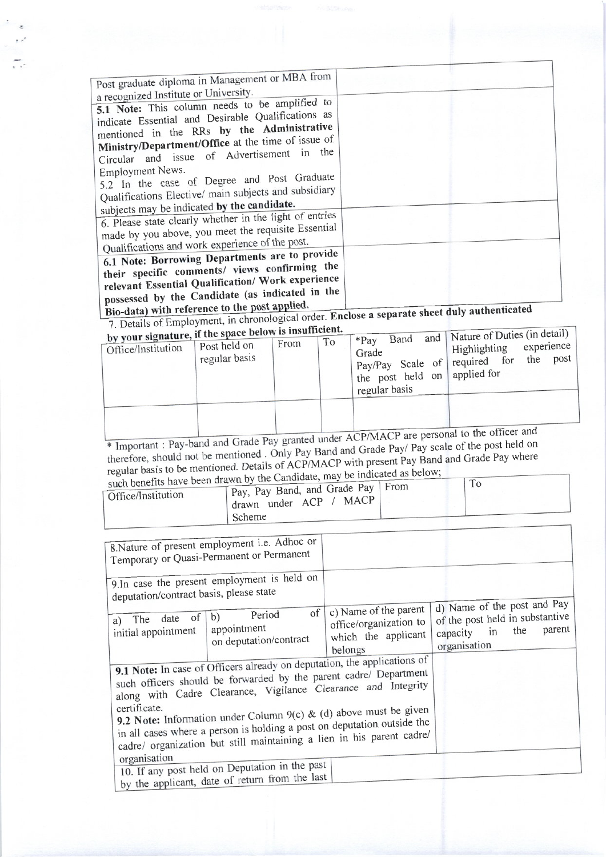| Post graduate diploma in Management or MBA from<br>a recognized Institute or University.                                                                                                                                                                                                                                  |  |
|---------------------------------------------------------------------------------------------------------------------------------------------------------------------------------------------------------------------------------------------------------------------------------------------------------------------------|--|
| 5.1 Note: This column needs to be amplified to<br>indicate Essential and Desirable Qualifications as<br>mentioned in the RRs by the Administrative<br>Ministry/Department/Office at the time of issue of<br>Circular and issue of Advertisement in the<br>Employment News.<br>5.2 In the case of Degree and Post Graduate |  |
| Qualifications Elective/ main subjects and subsidiary<br>subjects may be indicated by the candidate.                                                                                                                                                                                                                      |  |
| 6. Please state clearly whether in the light of entries<br>made by you above, you meet the requisite Essential<br>Qualifications and work experience of the post.                                                                                                                                                         |  |
| 6.1 Note: Borrowing Departments are to provide<br>their specific comments/ views confirming the<br>relevant Essential Qualification/ Work experience<br>possessed by the Candidate (as indicated in the                                                                                                                   |  |

Bio-data) with reference to the post applied.<br>7. Details of Employment, in chronological order. Enclose a separate sheet duly authenticated

| by your signature, if the space below is insulficient.<br>Office/Institution | Post held on<br>regular basis | From | To | Band<br>$*$ Pay<br>Grade<br>pay/Pay Scale of required for<br>the post held on<br>regular basis | and   Nature of Duties (in detail)<br>Highlighting<br>applied for | experience,<br>the | post |
|------------------------------------------------------------------------------|-------------------------------|------|----|------------------------------------------------------------------------------------------------|-------------------------------------------------------------------|--------------------|------|
|                                                                              |                               |      |    |                                                                                                | <b>COLUM</b>                                                      |                    |      |

\* Important : Pay-band and Grade Pay granted under ACP/MACP are personal to the officer and therefore, should not be mentioned . Only Pay Band and Grade Pay/ Pay scale of the post held on regular basis to be mentioned. Details of ACP/MACP with present Pay Band and Grade Pay where<br>such benefits have been drawn by the Candidate, may be indicated as below;

|                    | such benefits have been drawn by the Candidate, may be maredon |  |
|--------------------|----------------------------------------------------------------|--|
| Office/Institution | Pay, Pay Band, and Grade Pay   From                            |  |
|                    | drawn under ACP / MACP                                         |  |
|                    | Scheme                                                         |  |

| 8. Nature of present employment i.e. Adhoc or<br>Temporary or Quasi-Permanent or Permanent                                                                                                                                                                                                                                                                                                                                                              |                                                                                   |                                                                                                   |        |
|---------------------------------------------------------------------------------------------------------------------------------------------------------------------------------------------------------------------------------------------------------------------------------------------------------------------------------------------------------------------------------------------------------------------------------------------------------|-----------------------------------------------------------------------------------|---------------------------------------------------------------------------------------------------|--------|
| 9.In case the present employment is held on<br>deputation/contract basis, please state                                                                                                                                                                                                                                                                                                                                                                  |                                                                                   |                                                                                                   |        |
| of  <br>Period<br>b)<br>a) The date of<br>appointment<br>initial appointment<br>on deputation/contract                                                                                                                                                                                                                                                                                                                                                  | c) Name of the parent<br>office/organization to<br>which the applicant<br>belongs | d) Name of the post and Pay<br>of the post held in substantive<br>capacity in the<br>organisation | parent |
| 9.1 Note: In case of Officers already on deputation, the applications of<br>such officers should be forwarded by the parent cadre/ Department<br>along with Cadre Clearance, Vigilance Clearance and Integrity<br>certificate.<br>9.2 Note: Information under Column 9(c) & (d) above must be given<br>in all cases where a person is holding a post on deputation outside the<br>cadre/ organization but still maintaining a lien in his parent cadre/ |                                                                                   |                                                                                                   |        |
| organisation<br>10. If any post held on Deputation in the past<br>by the applicant, date of return from the last                                                                                                                                                                                                                                                                                                                                        |                                                                                   |                                                                                                   |        |